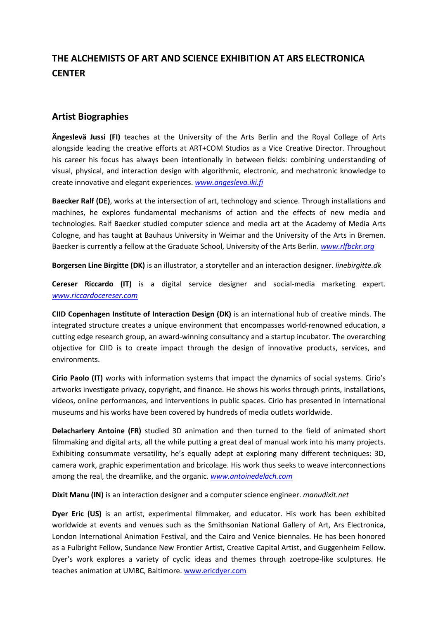## **THE ALCHEMISTS OF ART AND SCIENCE EXHIBITION AT ARS ELECTRONICA CENTER**

## **Artist Biographies**

**Ängeslevä Jussi (FI)** teaches at the University of the Arts Berlin and the Royal College of Arts alongside leading the creative efforts at ART+COM Studios as a Vice Creative Director. Throughout his career his focus has always been intentionally in between fields: combining understanding of visual, physical, and interaction design with algorithmic, electronic, and mechatronic knowledge to create innovative and elegant experiences. *[www.angesleva.iki.fi](http://www.angesleva.iki.fi/)*

**Baecker Ralf (DE)**, works at the intersection of art, technology and science. Through installations and machines, he explores fundamental mechanisms of action and the effects of new media and technologies. Ralf Baecker studied computer science and media art at the Academy of Media Arts Cologne, and has taught at Bauhaus University in Weimar and the University of the Arts in Bremen. Baecker is currently a fellow at the Graduate School, University of the Arts Berlin. *[www.rlfbckr.org](http://www.rlfbckr.org/)*

**Borgersen Line Birgitte (DK)** is an illustrator, a storyteller and an interaction designer. *linebirgitte.dk*

**Cereser Riccardo (IT)** is a digital service designer and social-media marketing expert. *[www.riccardocereser.com](http://www.riccardocereser.com/)*

**CIID Copenhagen Institute of Interaction Design (DK)** is an international hub of creative minds. The integrated structure creates a unique environment that encompasses world-renowned education, a cutting edge research group, an award-winning consultancy and a startup incubator. The overarching objective for CIID is to create impact through the design of innovative products, services, and environments.

**Cirio Paolo (IT)** works with information systems that impact the dynamics of social systems. Cirio's artworks investigate privacy, copyright, and finance. He shows his works through prints, installations, videos, online performances, and interventions in public spaces. Cirio has presented in international museums and his works have been covered by hundreds of media outlets worldwide.

**Delacharlery Antoine (FR)** studied 3D animation and then turned to the field of animated short filmmaking and digital arts, all the while putting a great deal of manual work into his many projects. Exhibiting consummate versatility, he's equally adept at exploring many different techniques: 3D, camera work, graphic experimentation and bricolage. His work thus seeks to weave interconnections among the real, the dreamlike, and the organic. *[www.antoinedelach.com](http://www.antoinedelach.com/)*

**Dixit Manu (IN)** is an interaction designer and a computer science engineer. *manudixit.net*

**Dyer Eric (US)** is an artist, experimental filmmaker, and educator. His work has been exhibited worldwide at events and venues such as the Smithsonian National Gallery of Art, Ars Electronica, London International Animation Festival, and the Cairo and Venice biennales. He has been honored as a Fulbright Fellow, Sundance New Frontier Artist, Creative Capital Artist, and Guggenheim Fellow. Dyer's work explores a variety of cyclic ideas and themes through zoetrope-like sculptures. He teaches animation at UMBC, Baltimore. [www.ericdyer.com](http://www.ericdyer.com/)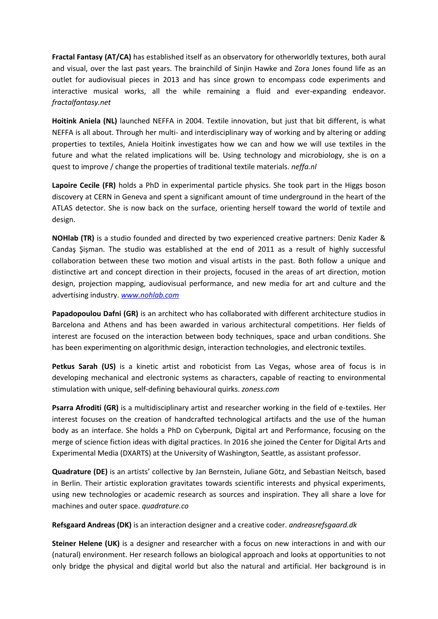**Fractal Fantasy (AT/CA)** has established itself as an observatory for otherworldly textures, both aural and visual, over the last past years. The brainchild of Sinjin Hawke and Zora Jones found life as an outlet for audiovisual pieces in 2013 and has since grown to encompass code experiments and interactive musical works, all the while remaining a fluid and ever-expanding endeavor. *fractalfantasy.net*

**Hoitink Aniela (NL)** launched NEFFA in 2004. Textile innovation, but just that bit different, is what NEFFA is all about. Through her multi- and interdisciplinary way of working and by altering or adding properties to textiles, Aniela Hoitink investigates how we can and how we will use textiles in the future and what the related implications will be. Using technology and microbiology, she is on a quest to improve / change the properties of traditional textile materials. *neffa.nl*

Lapoire Cecile (FR) holds a PhD in experimental particle physics. She took part in the Higgs boson discovery at CERN in Geneva and spent a significant amount of time underground in the heart of the ATLAS detector. She is now back on the surface, orienting herself toward the world of textile and design.

**NOHlab (TR)** is a studio founded and directed by two experienced creative partners: Deniz Kader & Candaş Şişman. The studio was established at the end of 2011 as a result of highly successful collaboration between these two motion and visual artists in the past. Both follow a unique and distinctive art and concept direction in their projects, focused in the areas of art direction, motion design, projection mapping, audiovisual performance, and new media for art and culture and the advertising industry. *[www.nohlab.com](http://www.nohlab.com/)*

**Papadopoulou Dafni (GR)** is an architect who has collaborated with different architecture studios in Barcelona and Athens and has been awarded in various architectural competitions. Her fields of interest are focused on the interaction between body techniques, space and urban conditions. She has been experimenting on algorithmic design, interaction technologies, and electronic textiles.

**Petkus Sarah (US)** is a kinetic artist and roboticist from Las Vegas, whose area of focus is in developing mechanical and electronic systems as characters, capable of reacting to environmental stimulation with unique, self-defining behavioural quirks. *zoness.com*

**Psarra Afroditi (GR)** is a multidisciplinary artist and researcher working in the field of e-textiles. Her interest focuses on the creation of handcrafted technological artifacts and the use of the human body as an interface. She holds a PhD on Cyberpunk, Digital art and Performance, focusing on the merge of science fiction ideas with digital practices. In 2016 she joined the Center for Digital Arts and Experimental Media (DXARTS) at the University of Washington, Seattle, as assistant professor.

**Quadrature (DE)** is an artists' collective by Jan Bernstein, Juliane Götz, and Sebastian Neitsch, based in Berlin. Their artistic exploration gravitates towards scientific interests and physical experiments, using new technologies or academic research as sources and inspiration. They all share a love for machines and outer space. *quadrature.co* 

**Refsgaard Andreas (DK)** is an interaction designer and a creative coder. *andreasrefsgaard.dk*

**Steiner Helene (UK)** is a designer and researcher with a focus on new interactions in and with our (natural) environment. Her research follows an biological approach and looks at opportunities to not only bridge the physical and digital world but also the natural and artificial. Her background is in